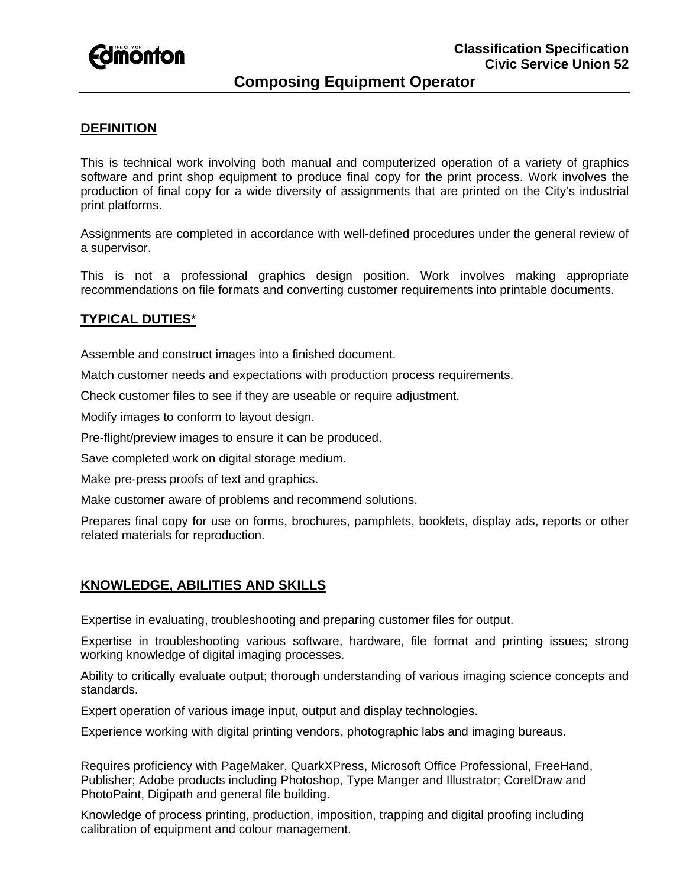

# **Composing Equipment Operator**

## **DEFINITION**

This is technical work involving both manual and computerized operation of a variety of graphics software and print shop equipment to produce final copy for the print process. Work involves the production of final copy for a wide diversity of assignments that are printed on the City's industrial print platforms.

Assignments are completed in accordance with well-defined procedures under the general review of a supervisor.

This is not a professional graphics design position. Work involves making appropriate recommendations on file formats and converting customer requirements into printable documents.

## **TYPICAL DUTIES**\*

Assemble and construct images into a finished document.

Match customer needs and expectations with production process requirements.

Check customer files to see if they are useable or require adjustment.

Modify images to conform to layout design.

Pre-flight/preview images to ensure it can be produced.

Save completed work on digital storage medium.

Make pre-press proofs of text and graphics.

Make customer aware of problems and recommend solutions.

Prepares final copy for use on forms, brochures, pamphlets, booklets, display ads, reports or other related materials for reproduction.

## **KNOWLEDGE, ABILITIES AND SKILLS**

Expertise in evaluating, troubleshooting and preparing customer files for output.

Expertise in troubleshooting various software, hardware, file format and printing issues; strong working knowledge of digital imaging processes.

Ability to critically evaluate output; thorough understanding of various imaging science concepts and standards.

Expert operation of various image input, output and display technologies.

Experience working with digital printing vendors, photographic labs and imaging bureaus.

Requires proficiency with PageMaker, QuarkXPress, Microsoft Office Professional, FreeHand, Publisher; Adobe products including Photoshop, Type Manger and Illustrator; CorelDraw and PhotoPaint, Digipath and general file building.

Knowledge of process printing, production, imposition, trapping and digital proofing including calibration of equipment and colour management.